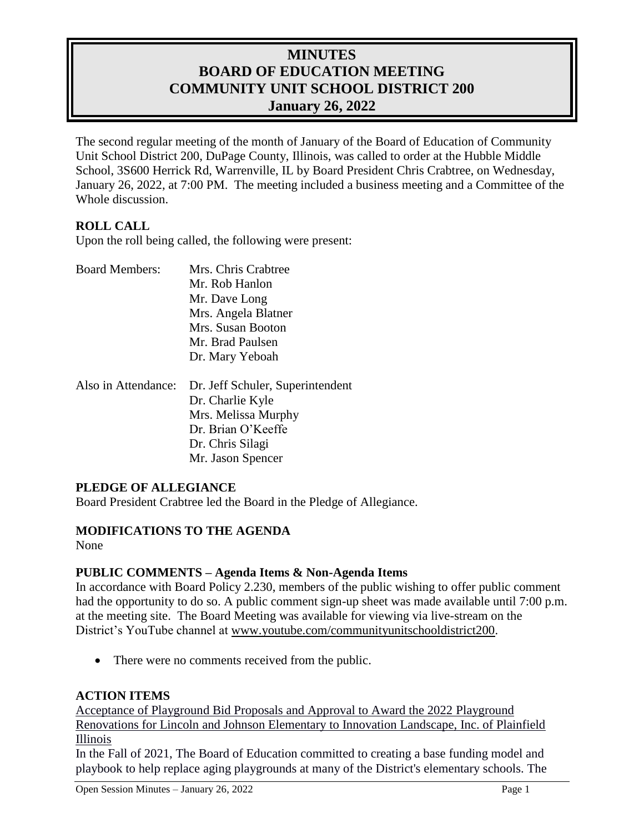# **MINUTES BOARD OF EDUCATION MEETING COMMUNITY UNIT SCHOOL DISTRICT 200 January 26, 2022**

The second regular meeting of the month of January of the Board of Education of Community Unit School District 200, DuPage County, Illinois, was called to order at the Hubble Middle School, 3S600 Herrick Rd, Warrenville, IL by Board President Chris Crabtree, on Wednesday, January 26, 2022, at 7:00 PM. The meeting included a business meeting and a Committee of the Whole discussion.

## **ROLL CALL**

Upon the roll being called, the following were present:

| <b>Board Members:</b> | Mrs. Chris Crabtree              |
|-----------------------|----------------------------------|
|                       | Mr. Rob Hanlon                   |
|                       | Mr. Dave Long                    |
|                       | Mrs. Angela Blatner              |
|                       | Mrs. Susan Booton                |
|                       | Mr. Brad Paulsen                 |
|                       | Dr. Mary Yeboah                  |
| Also in Attendance:   | Dr. Jeff Schuler, Superintendent |
|                       | Dr. Charlie Kyle                 |
|                       | Mrs. Melissa Murphy              |
|                       | Dr. Brian O'Keeffe               |
|                       | Dr. Chris Silagi                 |
|                       | Mr. Jason Spencer                |

### **PLEDGE OF ALLEGIANCE**

Board President Crabtree led the Board in the Pledge of Allegiance.

#### **MODIFICATIONS TO THE AGENDA**

None

### **PUBLIC COMMENTS – Agenda Items & Non-Agenda Items**

In accordance with Board Policy 2.230, members of the public wishing to offer public comment had the opportunity to do so. A public comment sign-up sheet was made available until 7:00 p.m. at the meeting site. The Board Meeting was available for viewing via live-stream on the District's YouTube channel at [www.youtube.com/communityunitschooldistrict200.](http://www.youtube.com/communityunitschooldistrict200)

• There were no comments received from the public.

### **ACTION ITEMS**

Acceptance of Playground Bid Proposals and Approval to Award the 2022 Playground Renovations for Lincoln and Johnson Elementary to Innovation Landscape, Inc. of Plainfield Illinois

In the Fall of 2021, The Board of Education committed to creating a base funding model and playbook to help replace aging playgrounds at many of the District's elementary schools. The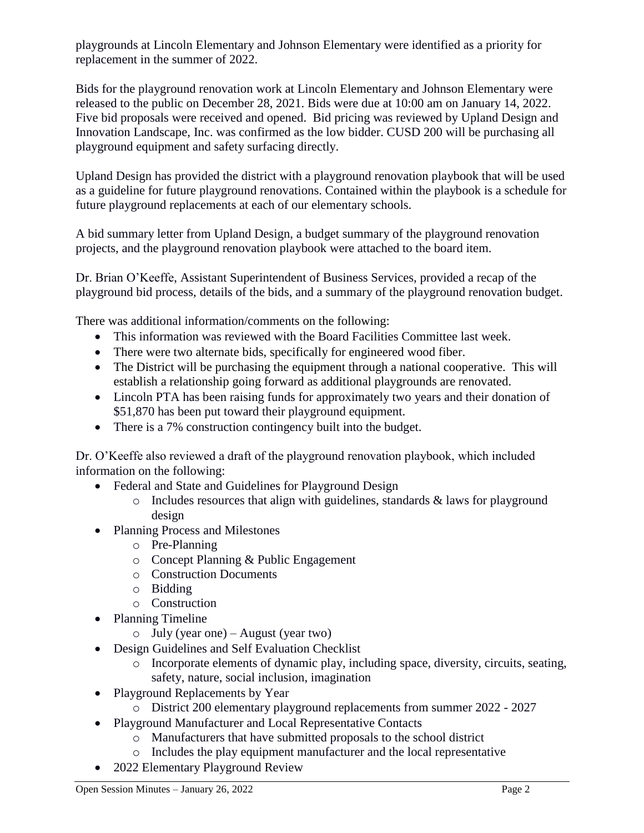playgrounds at Lincoln Elementary and Johnson Elementary were identified as a priority for replacement in the summer of 2022.

Bids for the playground renovation work at Lincoln Elementary and Johnson Elementary were released to the public on December 28, 2021. Bids were due at 10:00 am on January 14, 2022. Five bid proposals were received and opened. Bid pricing was reviewed by Upland Design and Innovation Landscape, Inc. was confirmed as the low bidder. CUSD 200 will be purchasing all playground equipment and safety surfacing directly.

Upland Design has provided the district with a playground renovation playbook that will be used as a guideline for future playground renovations. Contained within the playbook is a schedule for future playground replacements at each of our elementary schools.

A bid summary letter from Upland Design, a budget summary of the playground renovation projects, and the playground renovation playbook were attached to the board item.

Dr. Brian O'Keeffe, Assistant Superintendent of Business Services, provided a recap of the playground bid process, details of the bids, and a summary of the playground renovation budget.

There was additional information/comments on the following:

- This information was reviewed with the Board Facilities Committee last week.
- There were two alternate bids, specifically for engineered wood fiber.
- The District will be purchasing the equipment through a national cooperative. This will establish a relationship going forward as additional playgrounds are renovated.
- Lincoln PTA has been raising funds for approximately two years and their donation of \$51,870 has been put toward their playground equipment.
- There is a 7% construction contingency built into the budget.

Dr. O'Keeffe also reviewed a draft of the playground renovation playbook, which included information on the following:

- Federal and State and Guidelines for Playground Design
	- $\circ$  Includes resources that align with guidelines, standards & laws for playground design
- Planning Process and Milestones
	- o Pre-Planning
	- o Concept Planning & Public Engagement
	- o Construction Documents
	- o Bidding
	- o Construction
- Planning Timeline
	- o July (year one) August (year two)
- Design Guidelines and Self Evaluation Checklist
	- o Incorporate elements of dynamic play, including space, diversity, circuits, seating, safety, nature, social inclusion, imagination
- Playground Replacements by Year
	- o District 200 elementary playground replacements from summer 2022 2027
- Playground Manufacturer and Local Representative Contacts
	- o Manufacturers that have submitted proposals to the school district
	- o Includes the play equipment manufacturer and the local representative
- 2022 Elementary Playground Review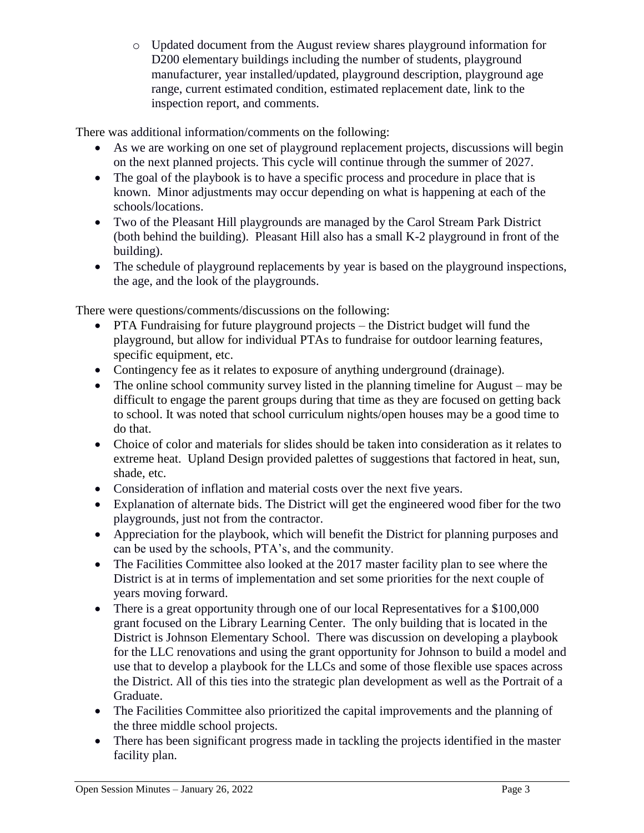o Updated document from the August review shares playground information for D<sub>200</sub> elementary buildings including the number of students, playground manufacturer, year installed/updated, playground description, playground age range, current estimated condition, estimated replacement date, link to the inspection report, and comments.

There was additional information/comments on the following:

- As we are working on one set of playground replacement projects, discussions will begin on the next planned projects. This cycle will continue through the summer of 2027.
- The goal of the playbook is to have a specific process and procedure in place that is known. Minor adjustments may occur depending on what is happening at each of the schools/locations.
- Two of the Pleasant Hill playgrounds are managed by the Carol Stream Park District (both behind the building). Pleasant Hill also has a small K-2 playground in front of the building).
- The schedule of playground replacements by year is based on the playground inspections, the age, and the look of the playgrounds.

There were questions/comments/discussions on the following:

- PTA Fundraising for future playground projects the District budget will fund the playground, but allow for individual PTAs to fundraise for outdoor learning features, specific equipment, etc.
- Contingency fee as it relates to exposure of anything underground (drainage).
- The online school community survey listed in the planning timeline for August may be difficult to engage the parent groups during that time as they are focused on getting back to school. It was noted that school curriculum nights/open houses may be a good time to do that.
- Choice of color and materials for slides should be taken into consideration as it relates to extreme heat. Upland Design provided palettes of suggestions that factored in heat, sun, shade, etc.
- Consideration of inflation and material costs over the next five years.
- Explanation of alternate bids. The District will get the engineered wood fiber for the two playgrounds, just not from the contractor.
- Appreciation for the playbook, which will benefit the District for planning purposes and can be used by the schools, PTA's, and the community.
- The Facilities Committee also looked at the 2017 master facility plan to see where the District is at in terms of implementation and set some priorities for the next couple of years moving forward.
- There is a great opportunity through one of our local Representatives for a \$100,000 grant focused on the Library Learning Center. The only building that is located in the District is Johnson Elementary School. There was discussion on developing a playbook for the LLC renovations and using the grant opportunity for Johnson to build a model and use that to develop a playbook for the LLCs and some of those flexible use spaces across the District. All of this ties into the strategic plan development as well as the Portrait of a Graduate.
- The Facilities Committee also prioritized the capital improvements and the planning of the three middle school projects.
- There has been significant progress made in tackling the projects identified in the master facility plan.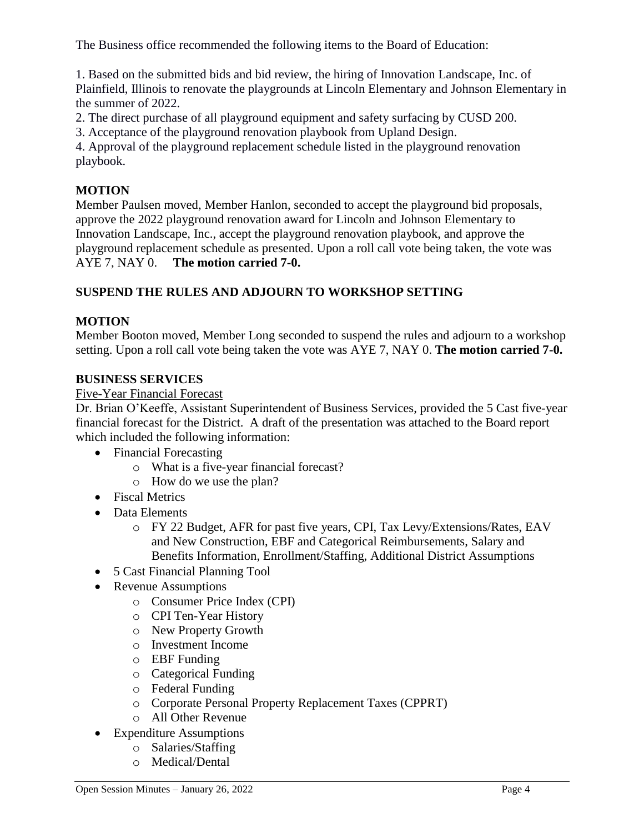The Business office recommended the following items to the Board of Education:

1. Based on the submitted bids and bid review, the hiring of Innovation Landscape, Inc. of Plainfield, Illinois to renovate the playgrounds at Lincoln Elementary and Johnson Elementary in the summer of 2022.

2. The direct purchase of all playground equipment and safety surfacing by CUSD 200.

3. Acceptance of the playground renovation playbook from Upland Design.

4. Approval of the playground replacement schedule listed in the playground renovation playbook.

### **MOTION**

Member Paulsen moved, Member Hanlon, seconded to accept the playground bid proposals, approve the 2022 playground renovation award for Lincoln and Johnson Elementary to Innovation Landscape, Inc., accept the playground renovation playbook, and approve the playground replacement schedule as presented. Upon a roll call vote being taken, the vote was AYE 7, NAY 0. **The motion carried 7-0.** 

## **SUSPEND THE RULES AND ADJOURN TO WORKSHOP SETTING**

## **MOTION**

Member Booton moved, Member Long seconded to suspend the rules and adjourn to a workshop setting. Upon a roll call vote being taken the vote was AYE 7, NAY 0. **The motion carried 7-0.**

### **BUSINESS SERVICES**

### Five-Year Financial Forecast

Dr. Brian O'Keeffe, Assistant Superintendent of Business Services, provided the 5 Cast five-year financial forecast for the District. A draft of the presentation was attached to the Board report which included the following information:

- Financial Forecasting
	- o What is a five-year financial forecast?
	- o How do we use the plan?
- Fiscal Metrics
- Data Elements
	- o FY 22 Budget, AFR for past five years, CPI, Tax Levy/Extensions/Rates, EAV and New Construction, EBF and Categorical Reimbursements, Salary and Benefits Information, Enrollment/Staffing, Additional District Assumptions
- 5 Cast Financial Planning Tool
- Revenue Assumptions
	- o Consumer Price Index (CPI)
	- o CPI Ten-Year History
	- o New Property Growth
	- o Investment Income
	- o EBF Funding
	- o Categorical Funding
	- o Federal Funding
	- o Corporate Personal Property Replacement Taxes (CPPRT)
	- o All Other Revenue
- Expenditure Assumptions
	- o Salaries/Staffing
	- o Medical/Dental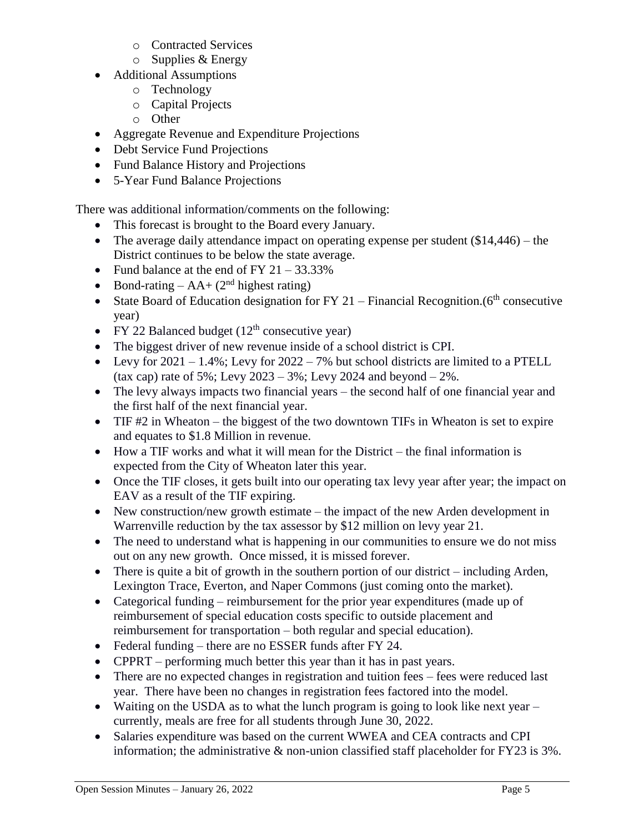- o Contracted Services
- $\circ$  Supplies & Energy
- Additional Assumptions
	- o Technology
	- o Capital Projects
	- o Other
- Aggregate Revenue and Expenditure Projections
- Debt Service Fund Projections
- Fund Balance History and Projections
- 5-Year Fund Balance Projections

There was additional information/comments on the following:

- This forecast is brought to the Board every January.
- The average daily attendance impact on operating expense per student  $(\$14,446)$  the District continues to be below the state average.
- Fund balance at the end of FY  $21 33.33\%$
- Bond-rating  $AA + (2<sup>nd</sup>$  highest rating)
- State Board of Education designation for FY 21 Financial Recognition.  $(6<sup>th</sup>$  consecutive year)
- FY 22 Balanced budget  $(12<sup>th</sup> \text{ consecutive year})$
- The biggest driver of new revenue inside of a school district is CPI.
- Evy for  $2021 1.4\%$ ; Levy for  $2022 7\%$  but school districts are limited to a PTELL (tax cap) rate of 5%; Levy  $2023 - 3\%$ ; Levy 2024 and beyond  $-2\%$ .
- The levy always impacts two financial years the second half of one financial year and the first half of the next financial year.
- TIF #2 in Wheaton the biggest of the two downtown TIFs in Wheaton is set to expire and equates to \$1.8 Million in revenue.
- How a TIF works and what it will mean for the District the final information is expected from the City of Wheaton later this year.
- Once the TIF closes, it gets built into our operating tax levy year after year; the impact on EAV as a result of the TIF expiring.
- New construction/new growth estimate the impact of the new Arden development in Warrenville reduction by the tax assessor by \$12 million on levy year 21.
- The need to understand what is happening in our communities to ensure we do not miss out on any new growth. Once missed, it is missed forever.
- There is quite a bit of growth in the southern portion of our district including Arden, Lexington Trace, Everton, and Naper Commons (just coming onto the market).
- Categorical funding reimbursement for the prior year expenditures (made up of reimbursement of special education costs specific to outside placement and reimbursement for transportation – both regular and special education).
- Federal funding there are no ESSER funds after FY 24.
- CPPRT performing much better this year than it has in past years.
- There are no expected changes in registration and tuition fees fees were reduced last year. There have been no changes in registration fees factored into the model.
- Waiting on the USDA as to what the lunch program is going to look like next year currently, meals are free for all students through June 30, 2022.
- Salaries expenditure was based on the current WWEA and CEA contracts and CPI information; the administrative & non-union classified staff placeholder for FY23 is 3%.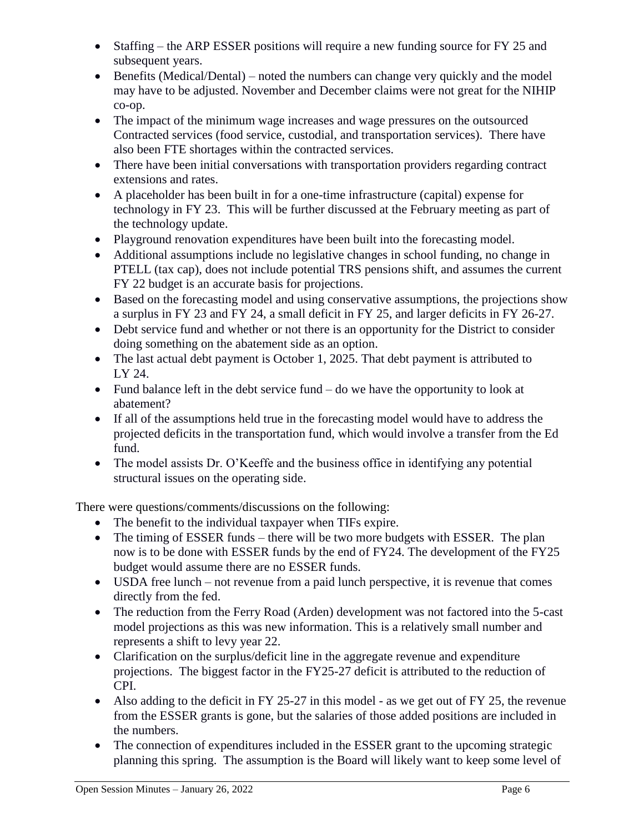- Staffing the ARP ESSER positions will require a new funding source for FY 25 and subsequent years.
- Benefits (Medical/Dental) noted the numbers can change very quickly and the model may have to be adjusted. November and December claims were not great for the NIHIP co-op.
- The impact of the minimum wage increases and wage pressures on the outsourced Contracted services (food service, custodial, and transportation services). There have also been FTE shortages within the contracted services.
- There have been initial conversations with transportation providers regarding contract extensions and rates.
- A placeholder has been built in for a one-time infrastructure (capital) expense for technology in FY 23. This will be further discussed at the February meeting as part of the technology update.
- Playground renovation expenditures have been built into the forecasting model.
- Additional assumptions include no legislative changes in school funding, no change in PTELL (tax cap), does not include potential TRS pensions shift, and assumes the current FY 22 budget is an accurate basis for projections.
- Based on the forecasting model and using conservative assumptions, the projections show a surplus in FY 23 and FY 24, a small deficit in FY 25, and larger deficits in FY 26-27.
- Debt service fund and whether or not there is an opportunity for the District to consider doing something on the abatement side as an option.
- The last actual debt payment is October 1, 2025. That debt payment is attributed to LY 24.
- Fund balance left in the debt service fund  $-$  do we have the opportunity to look at abatement?
- If all of the assumptions held true in the forecasting model would have to address the projected deficits in the transportation fund, which would involve a transfer from the Ed fund.
- The model assists Dr. O'Keeffe and the business office in identifying any potential structural issues on the operating side.

There were questions/comments/discussions on the following:

- The benefit to the individual taxpayer when TIFs expire.
- The timing of ESSER funds there will be two more budgets with ESSER. The plan now is to be done with ESSER funds by the end of FY24. The development of the FY25 budget would assume there are no ESSER funds.
- USDA free lunch not revenue from a paid lunch perspective, it is revenue that comes directly from the fed.
- The reduction from the Ferry Road (Arden) development was not factored into the 5-cast model projections as this was new information. This is a relatively small number and represents a shift to levy year 22.
- Clarification on the surplus/deficit line in the aggregate revenue and expenditure projections. The biggest factor in the FY25-27 deficit is attributed to the reduction of CPI.
- Also adding to the deficit in FY 25-27 in this model as we get out of FY 25, the revenue from the ESSER grants is gone, but the salaries of those added positions are included in the numbers.
- The connection of expenditures included in the ESSER grant to the upcoming strategic planning this spring. The assumption is the Board will likely want to keep some level of